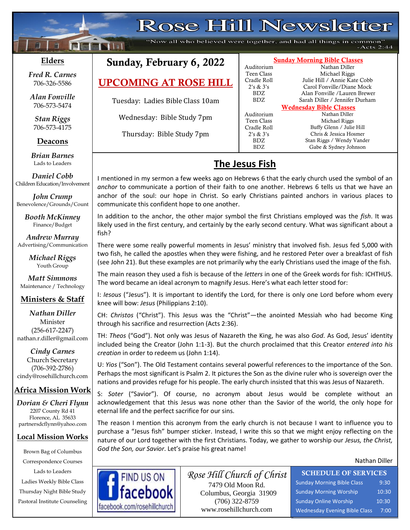# **Rose Hill Newsletter**

"Now all who believed were together, and had all things in common"  $-Acts 2:44$ 

### **Elders**

 $\mathbf{f}$ 

**Following Nilsi** 

**;30Ma\*``**

*Fred R. Carnes* 706-326-5586

*Alan Fonville* 706-573-5474

*Stan Riggs* 706-573-4175

**Deacons**

**;**  *Brian Barnes* Lads to Leaders

*Daniel Cobb* Children Education/Involvement

*John Crump* Benevolence/Grounds/Count

> *Booth McKinney* Finance/Budget

*Andrew Murray* Advertising/Communication

> *Michael Riggs* Youth Group

*Matt Simmons* Maintenance / Technology

## **Ministers & Staff**

*Nathan Diller* Minister (256-617-2247) nathan.r.diller@gmail.com

*Cindy Carnes* Church Secretary (706-392-2786) cindy@rosehillchurch.com

### **Africa Mission Work**

*Dorian & Cheri Flynn* 2207 County Rd 41 Florence, AL 35633 [partnersdcflynn@yahoo.com](mailto:partnersdcflynn@yahoo.com)

#### **Local Mission Works**

Brown Bag of Columbus Correspondence Courses Lads to Leaders Ladies Weekly Bible Class Thursday Night Bible Study Pastoral Institute Counseling

# Sunday, February 6, 2022

UPCOMING AT ROSE HILL

Tuesday: Ladies Bible Class 10am

Wednesday: Bible Study 7pm

Thursday: Bible Study 7pm

#### Sunday Morning Bible Classes Auditorium Nathan Diller Teen Class Michael Riggs Cradle Roll Julie Hill / Annie Kate Cobb 2's & 3's Carol Fonville/Diane Mock BDZ Alan Fonville /Lauren Brewer

Auditorium

BDZ Sarah Diller / Jennifer Durham Wednesday Bible Classes Teen Class Michael Riggs Cradle Roll Buffy Glenn / Julie Hill 2's & 3's Chris & Jessica Hosmer BDZ Stan Riggs / Wendy Vander<br>BDZ Gabe & Sydney Johnson Gabe & Sydney Johnson

## **The Jesus Fish**

I mentioned in my sermon a few weeks ago on Hebrews 6 that the early church used the symbol of an *anchor* to communicate a portion of their faith to one another. Hebrews 6 tells us that we have an anchor of the soul: our hope in Christ. So early Christians painted anchors in various places to communicate this confident hope to one another.

In addition to the anchor, the other major symbol the first Christians employed was the *fish*. It was likely used in the first century, and certainly by the early second century. What was significant about a fish?

There were some really powerful moments in Jesus' ministry that involved fish. Jesus fed 5,000 with two fish, he called the apostles when they were fishing, and he restored Peter over a breakfast of fish (see John 21). But these examples are not primarily why the early Christians used the image of the fish.

The main reason they used a fish is because of the *letters* in one of the Greek words for fish: ICHTHUS. The word became an ideal acronym to magnify Jesus. Here's what each letter stood for:

I: *Iesous* ("Jesus"). It is important to identify the Lord, for there is only one Lord before whom every knee will bow: *Jesus* (Philippians 2:10).

CH: *Christos* ("Christ"). This Jesus was the "Christ"—the anointed Messiah who had become King through his sacrifice and resurrection (Acts 2:36).

TH: *Theos* ("God"). Not only was Jesus of Nazareth the King, he was also *God*. As God, Jesus' identity included being the Creator (John 1:1-3). But the church proclaimed that this Creator *entered into his creation* in order to redeem us (John 1:14).

U: *Yios* ("Son"). The Old Testament contains several powerful references to the importance of the Son. Perhaps the most significant is Psalm 2. It pictures the Son as the divine ruler who is sovereign over the nations and provides refuge for his people. The early church insisted that this was Jesus of Nazareth.

S: *Soter* ("Savior"). Of course, no acronym about Jesus would be complete without an acknowledgement that this Jesus was none other than the Savior of the world, the only hope for eternal life and the perfect sacrifice for our sins.

The reason I mention this acronym from the early church is not because I want to influence you to purchase a "Jesus fish" bumper sticker. Instead, I write this so that we might enjoy reflecting on the nature of our Lord together with the first Christians. Today, we gather to worship our *Jesus, the Christ, God the Son, our Savior*. Let's praise his great name!

Nathan Diller



*Rose Hill Church of Christ* 7479 Old Moon Rd. Columbus, Georgia 31909 (706) 322-8759 www.rosehillchurch.com

SCHEDULE OF SERVICES Sunday Morning Bible Class 9:30 Sunday Morning Worship 10:30 Sunday Online Worship 10:30 Wednesday Evening Bible Class 7:00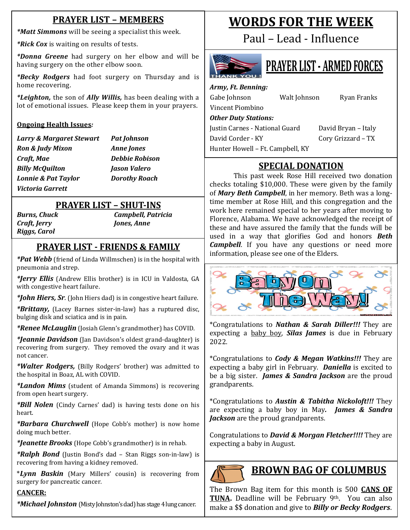## **PRAYER LIST – MEMBERS**

*\*Matt Simmons* will be seeing a specialist this week.

*\*Rick Cox* is waiting on results of tests.

*\*Donna Greene* had surgery on her elbow and will be having surgery on the other elbow soon.

*\*Becky Rodgers* had foot surgery on Thursday and is home recovering.

*\*Leighton,* the son of *Ally Willis,* has been dealing with a lot of emotional issues. Please keep them in your prayers.

#### **Ongoing Health Issues***:*

*Larry & Margaret Stewart Pat Johnson Ron & Judy Mixon Anne Jones Craft, Mae Debbie Robison Billy McQuilton Jason Valero Lonnie & Pat Taylor Dorothy Roach Victoria Garrett*

## **PRAYER LIST – SHUT-INS**

*Craft, Jerry Jones, Anne Riggs, Carol*

*Burns, Chuck Campbell, Patricia*

## **PRAYER LIST - FRIENDS & FAMILY**

*a u P u p n cm p n n n n n n n n n n n n n n n n n n n n n n n n n n n n n \*Pat Webb* (friend of Linda Willmschen) is in the hospital with

*\*Jerry Ellis* (Andrew Ellis brother) is in ICU in Valdosta, GA with congestive heart failure.

*\*John Hiers, Sr.* (John Hiers dad) is in congestive heart failure.

*\*Brittany,* (Lacey Barnes sister-in-law) has a ruptured disc, bulging disk and sciatica and is in pain.

*\*Renee McLauglin* (Josiah Glenn's grandmother) has COVID.

*\*Jeannie Davidson* (Jan Davidson's oldest grand-daughter) is recovering from surgery. They removed the ovary and it was not cancer.

*\*Walter Rodgers,* (Billy Rodgers' brother) was admitted to the hospital in Boaz, AL with COVID.

*\*Landon Mims* (student of Amanda Simmons) is recovering from open heart surgery.

*\*Bill Nolen* (Cindy Carnes' dad) is having tests done on his heart.

*\*Barbara Churchwell* (Hope Cobb's mother) is now home doing much better.

*\*Jeanette Brooks* (Hope Cobb's grandmother) is in rehab.

*\*Ralph Bond* (Justin Bond's dad – Stan Riggs son-in-law) is recovering from having a kidney removed.

\**Lynn Baskin* (Mary Millers' cousin) is recovering from surgery for pancreatic cancer.

### **CANCER:**

*\*Michael Johnston* (Misty Johnston's dad) has stage 4 lung cancer.

# **WORDS FOR THE WEEK**

Paul – Lead - Influence



# **PRAYER LIST - ARMED FORCES**

*Army, Ft. Benning:* Gabe Johnson Walt Johnson Ryan Franks Vincent Piombino *Other Duty Stations:* Justin Carnes - National Guard David Bryan - Italy David Corder - KY Cory Grizzard – TX

Hunter Howell – Ft. Campbell, KY

## **SPECIAL DONATION**

This past week Rose Hill received two donation checks totaling \$10,000. These were given by the family of *Mary Beth Campbell*, in her memory. Beth was a longtime member at Rose Hill, and this congregation and the work here remained special to her years after moving to Florence, Alabama. We have acknowledged the receipt of these and have assured the family that the funds will be used in a way that glorifies God and honors *Beth Campbell*. If you have any questions or need more information, please see one of the Elders.



\*Congratulations to *Nathan & Sarah Diller!!!* They are expecting a baby boy, *Silas James* is due in February 2022.

\*Congratulations to *Cody & Megan Watkins!!!* They are expecting a baby girl in February. *Daniella* is excited to be a big sister. *James & Sandra Jackson* are the proud grandparents.

\*Congratulations to *Austin & Tabitha Nickoloft!!!* They are expecting a baby boy in May*. James & Sandra Jackson* are the proud grandparents.

Congratulations to *David & Morgan Fletcher!!!!* They are expecting a baby in August.



## **BROWN BAG OF COLUMBUS**

The Brown Bag item for this month is 500 **CANS OF TUNA.** Deadline will be February 9<sup>th</sup>. You can also make a \$\$ donation and give to *Billy or Becky Rodgers*.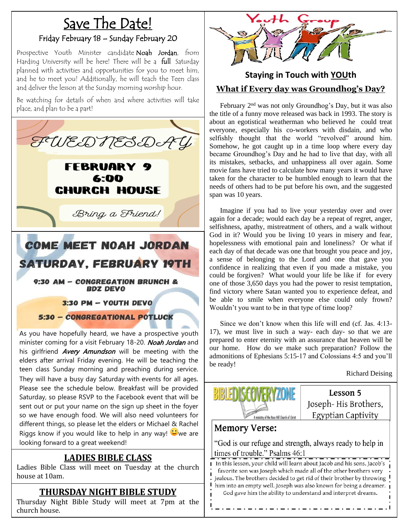# Save The Date!

### Friday February 18 – Sunday February 20

Prospective Youth Minister candidate Noah Jordan, from Harding University will be here! There will be a full Saturday planned with activities and opportunities for you to meet him, and he to meet you! Additionally, he will teach the Teen class and deliver the lesson at the Sunday morning worship hour.

Be watching for details of when and where activities will take place, and plan to be a part!



As you have hopefully heard, we have a prospective youth minister coming for a visit February 18-20. Noah Jordan and his girlfriend *Avery Amundson* will be meeting with the elders after arrival Friday evening. He will be teaching the teen class Sunday morning and preaching during service. They will have a busy day Saturday with events for all ages. Please see the schedule below. Breakfast will be provided Saturday, so please RSVP to the Facebook event that will be sent out or put your name on the sign up sheet in the foyer so we have enough food. We will also need volunteers for different things, so please let the elders or Michael & Rachel Riggs know if you would like to help in any way!  $\ddot{\bullet}$  we are looking forward to a great weekend!

### **LADIES BIBLE CLASS**

Ladies Bible Class will meet on Tuesday at the church house at 10am.

### **THURSDAY NIGHT BIBLE STUDY**

Thursday Night Bible Study will meet at 7pm at the<br>church.house church house.



## **Staying in Touch with YOUth What if Every day was Groundhog's Day?**

 February 2nd was not only Groundhog's Day, but it was also the title of a funny move released was back in 1993. The story is about an egotistical weatherman who believed he could treat everyone, especially his co-workers with disdain, and who selfishly thought that the world "revolved" around him. Somehow, he got caught up in a time loop where every day became Groundhog's Day and he had to live that day, with all its mistakes, setbacks, and unhappiness all over again. Some movie fans have tried to calculate how many years it would have taken for the character to be humbled enough to learn that the needs of others had to be put before his own, and the suggested span was 10 years.

 Imagine if you had to live your yesterday over and over again for a decade; would each day be a repeat of regret, anger, selfishness, apathy, mistreatment of others, and a walk without God in it? Would you be living 10 years in misery and fear, hopelessness with emotional pain and loneliness? Or what if each day of that decade was one that brought you peace and joy, a sense of belonging to the Lord and one that gave you confidence in realizing that even if you made a mistake, you could be forgiven? What would your life be like if for every one of those 3,650 days you had the power to resist temptation, find victory where Satan wanted you to experience defeat, and be able to smile when everyone else could only frown? Wouldn't you want to be in that type of time loop?

 Since we don't know when this life will end (cf. Jas. 4:13- 17), we must live in such a way- each day- so that we are prepared to enter eternity with an assurance that heaven will be our home. How do we make such preparation? Follow the admonitions of Ephesians 5:15-17 and Colossians 4:5 and you'll be ready!

Richard Deising



Lesson 5 Joseph-His Brothers, Egyptian Captivity

## **Memory Verse:**

"God is our refuge and strength, always ready to help in times of trouble." Psalms 46:1

I In this lesson, your child will learn about Jacob and his sons. Jacob's favorite son was Joseph which made all of the other brothers very jealous. The brothers decided to get rid of their brother by throwing him into an empty well. Joseph was also known for being a dreamer. God gave him the ability to understand and interpret dreams.